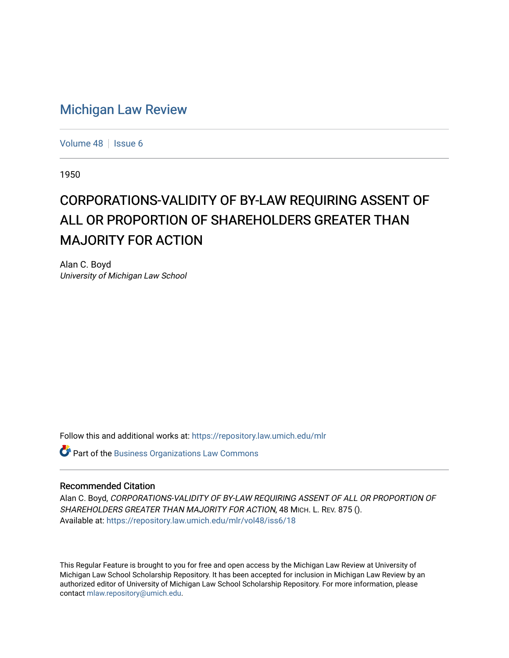## [Michigan Law Review](https://repository.law.umich.edu/mlr)

[Volume 48](https://repository.law.umich.edu/mlr/vol48) | [Issue 6](https://repository.law.umich.edu/mlr/vol48/iss6)

1950

## CORPORATIONS-VALIDITY OF BY-LAW REQUIRING ASSENT OF ALL OR PROPORTION OF SHAREHOLDERS GREATER THAN **MAJORITY FOR ACTION**

Alan C. Boyd University of Michigan Law School

Follow this and additional works at: [https://repository.law.umich.edu/mlr](https://repository.law.umich.edu/mlr?utm_source=repository.law.umich.edu%2Fmlr%2Fvol48%2Fiss6%2F18&utm_medium=PDF&utm_campaign=PDFCoverPages) 

**Part of the [Business Organizations Law Commons](http://network.bepress.com/hgg/discipline/900?utm_source=repository.law.umich.edu%2Fmlr%2Fvol48%2Fiss6%2F18&utm_medium=PDF&utm_campaign=PDFCoverPages)** 

## Recommended Citation

Alan C. Boyd, CORPORATIONS-VALIDITY OF BY-LAW REQUIRING ASSENT OF ALL OR PROPORTION OF SHAREHOLDERS GREATER THAN MAJORITY FOR ACTION, 48 MICH. L. REV. 875 (). Available at: [https://repository.law.umich.edu/mlr/vol48/iss6/18](https://repository.law.umich.edu/mlr/vol48/iss6/18?utm_source=repository.law.umich.edu%2Fmlr%2Fvol48%2Fiss6%2F18&utm_medium=PDF&utm_campaign=PDFCoverPages) 

This Regular Feature is brought to you for free and open access by the Michigan Law Review at University of Michigan Law School Scholarship Repository. It has been accepted for inclusion in Michigan Law Review by an authorized editor of University of Michigan Law School Scholarship Repository. For more information, please contact [mlaw.repository@umich.edu](mailto:mlaw.repository@umich.edu).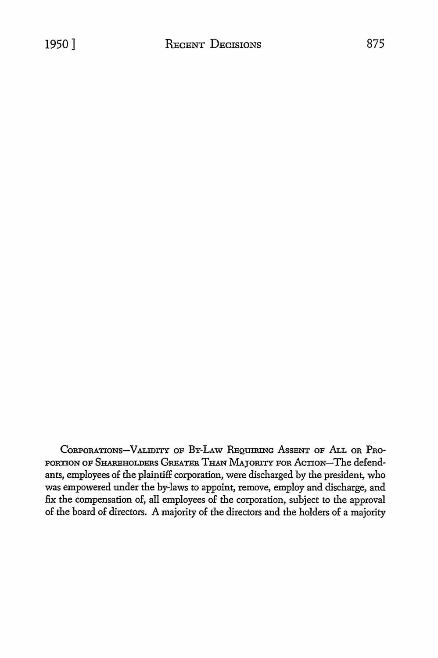CoRPORATIONs-VALIDITY oF BY-LAw REQUIRING AssENT OF ALL OR PRo-PORTION OF SHAREHOLDERS GREATER THAN MAJORITY FOR ACTION-The defendants, employees of the plaintiff corporation, were discharged by the president, who was empowered under the by-laws to appoint, remove, employ and discharge, and fix the compensation of, all employees of the corporation, subject to the approval of the board of directors. A majority of the directors and the holders of a majority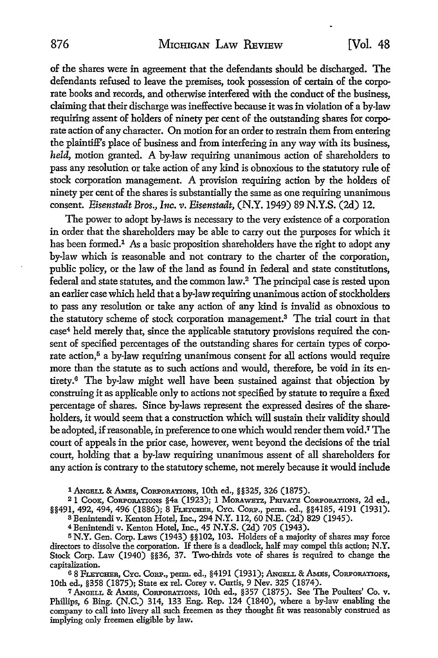of the shares were in agreement that the defendants should be discharged. The defendants refused to leave the premises, took possession of certain of the corporate books and records, and otherwise interfered with the conduct of the business, claiming that their discharge was ineffective because it was in violation of a by-law requiring assent of holders of ninety per cent of the outstanding shares for corporate action of any character. On motion for an order to restrain them from entering the plaintiff's place of business and from interfering in any way with its business, *held*, motion granted. A by-law requiring unanimous action of shareholders to pass any resolution or take action of any kind is obnoxious to the statutory rule of stock corporation management. A provision requiring action by the holders of ninety per cent of the shares is substantially the same as one requiring unanimous consent. *Eisenstadt Bros., Inc. v. Eisenstadt,* (N.Y. 1949) 89 N.Y.S. (2d) 12.

The power to adopt by-laws is necessary to the very existence of a corporation in order that the shareholders may be able to carry out the purposes for which it has been formed.<sup>1</sup> As a basic proposition shareholders have the right to adopt any by-law which is reasonable and not contrary to the charter of the corporation, public policy, or the law of the land as found in federal and state constitutions, federal and state statutes, and the common law.<sup>2</sup>The principal case is rested upon an earlier case which held that a by-law requiring unanimous action of stockholders to pass any resolution or take any action of any kind is invalid as obnoxious to the statutory scheme of stock corporation management.3 The trial court in that case4 held merely that, since the applicable statutory provisions required the consent of specified percentages of the outstanding shares for certain types of corporate action,<sup>5</sup> a by-law requiring unanimous consent for all actions would require more than the statute as to such actions and would, therefore, be void in its entirety. 6 The by-law might well have been sustained against that objection by construing it as applicable only to actions not specified by statute to require a fixed percentage of shares. Since by-laws represent the expressed desires of the shareholders, it would seem that a construction which will sustain their validity should be adopted, if reasonable, in preference to one which would render them void.7 The court of appeals in the prior case, however, went beyond the decisions of the trial court, holding that a by-law requiring unanimous assent of all shareholders for any action is contrary to the statutory scheme, not merely because it would include

1 ANGELL & AMES, CORPORATIONS, 10th ed., §§325, 326 (1875).

2 1 CooK, CoRPORATIONS §4a (1923); I MoRAWBTZ, PRIVATE CORPORATIONS, 2d ed., §§491, 492, 494, 496 (1886); 8 FLETCHER, CYC. CoRP., perm. ed., §§4185, 4191 (1931).

<sup>3</sup>Benintendi v. Kenton Hotel, Inc., 294 N.Y. 112, 60 N.E. (2d) 829 (1945).

<sup>4</sup>Benintendi v. Kenton Hotel, Inc., 45 N.Y.S. (2d) 705 (1943).

<sup>5</sup>N.Y. Gen. Corp. Laws (1943) §§102, 103. Holders of a majority of shares may force directors to dissolve the corporation. If there is a deadlock, half may compel this action; N.Y. Stock Corp. Law (1940) §§36, 37. Two-thirds vote of shares is required to change the capitalization.

68 FLETCHER, CYC. CORP., perm. ed., §4191 (1931); ANGELL & AMES, CORPORATIONS, 10th ed., §358 (1875); State ex rel. Corey v. Curtis, 9 Nev. 325 (1874).

<sup>7</sup> ANGELL & AMES, CORPORATIONS, 10th ed., §357 (1875). See The Poulters' Co. v. Phillips, 6 Bing. (N.C.) 314, 133 Eng. Rep. 124 (1840), where a by-law enabling the company to call into livery all such freemen as they thought fit was reasonably construed as implying only freemen eligible by law.